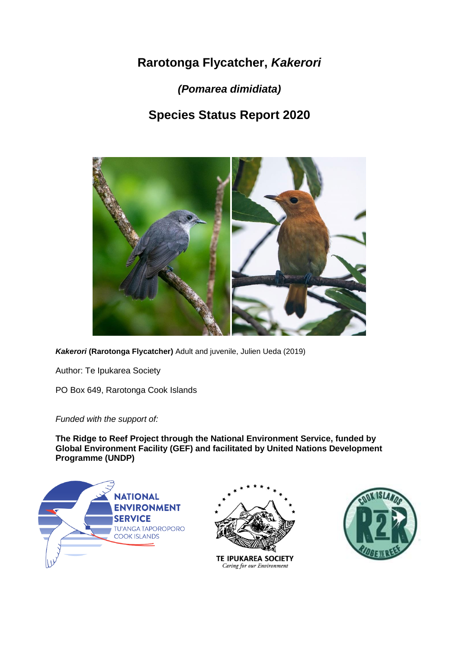# **Rarotonga Flycatcher,** *Kakerori*

*(Pomarea dimidiata)*

# **Species Status Report 2020**



*Kakerori* **(Rarotonga Flycatcher)** Adult and juvenile, Julien Ueda (2019)

Author: Te Ipukarea Society

PO Box 649, Rarotonga Cook Islands

*Funded with the support of:*

**The Ridge to Reef Project through the National Environment Service, funded by Global Environment Facility (GEF) and facilitated by United Nations Development Programme (UNDP)**





TE IPUKAREA SOCIETY Caring for our Environment

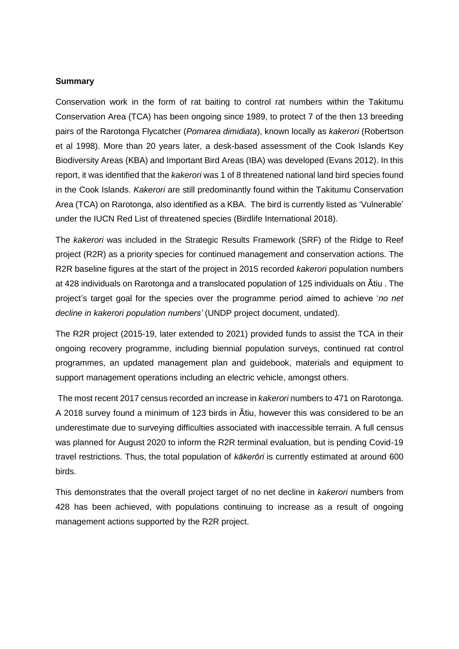#### **Summary**

Conservation work in the form of rat baiting to control rat numbers within the Takitumu Conservation Area (TCA) has been ongoing since 1989, to protect 7 of the then 13 breeding pairs of the Rarotonga Flycatcher (*Pomarea dimidiata*), known locally as *kakerori* (Robertson et al 1998). More than 20 years later, a desk-based assessment of the Cook Islands Key Biodiversity Areas (KBA) and Important Bird Areas (IBA) was developed (Evans 2012). In this report, it was identified that the *kakerori* was 1 of 8 threatened national land bird species found in the Cook Islands. *Kakerori* are still predominantly found within the Takitumu Conservation Area (TCA) on Rarotonga, also identified as a KBA. The bird is currently listed as 'Vulnerable' under the IUCN Red List of threatened species (Birdlife International 2018).

The *kakerori* was included in the Strategic Results Framework (SRF) of the Ridge to Reef project (R2R) as a priority species for continued management and conservation actions. The R2R baseline figures at the start of the project in 2015 recorded *kakerori* population numbers at 428 individuals on Rarotonga and a translocated population of 125 individuals on Ātiu . The project's target goal for the species over the programme period aimed to achieve '*no net decline in kakerori population numbers'* (UNDP project document, undated).

The R2R project (2015-19, later extended to 2021) provided funds to assist the TCA in their ongoing recovery programme, including biennial population surveys, continued rat control programmes, an updated management plan and guidebook, materials and equipment to support management operations including an electric vehicle, amongst others.

The most recent 2017 census recorded an increase in *kakerori* numbers to 471 on Rarotonga. A 2018 survey found a minimum of 123 birds in Ātiu, however this was considered to be an underestimate due to surveying difficulties associated with inaccessible terrain. A full census was planned for August 2020 to inform the R2R terminal evaluation, but is pending Covid-19 travel restrictions. Thus, the total population of *kākerōri* is currently estimated at around 600 birds.

This demonstrates that the overall project target of no net decline in *kakerori* numbers from 428 has been achieved, with populations continuing to increase as a result of ongoing management actions supported by the R2R project.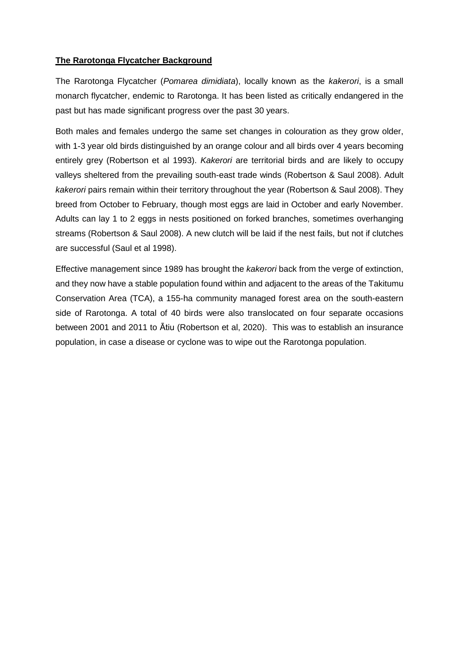## **The Rarotonga Flycatcher Background**

The Rarotonga Flycatcher (*Pomarea dimidiata*), locally known as the *kakerori*, is a small monarch flycatcher, endemic to Rarotonga. It has been listed as critically endangered in the past but has made significant progress over the past 30 years.

Both males and females undergo the same set changes in colouration as they grow older, with 1-3 year old birds distinguished by an orange colour and all birds over 4 years becoming entirely grey (Robertson et al 1993). *Kakerori* are territorial birds and are likely to occupy valleys sheltered from the prevailing south-east trade winds (Robertson & Saul 2008). Adult *kakerori* pairs remain within their territory throughout the year (Robertson & Saul 2008). They breed from October to February, though most eggs are laid in October and early November. Adults can lay 1 to 2 eggs in nests positioned on forked branches, sometimes overhanging streams (Robertson & Saul 2008). A new clutch will be laid if the nest fails, but not if clutches are successful (Saul et al 1998).

Effective management since 1989 has brought the *kakerori* back from the verge of extinction, and they now have a stable population found within and adjacent to the areas of the Takitumu Conservation Area (TCA), a 155-ha community managed forest area on the south-eastern side of Rarotonga. A total of 40 birds were also translocated on four separate occasions between 2001 and 2011 to Ātiu (Robertson et al, 2020). This was to establish an insurance population, in case a disease or cyclone was to wipe out the Rarotonga population.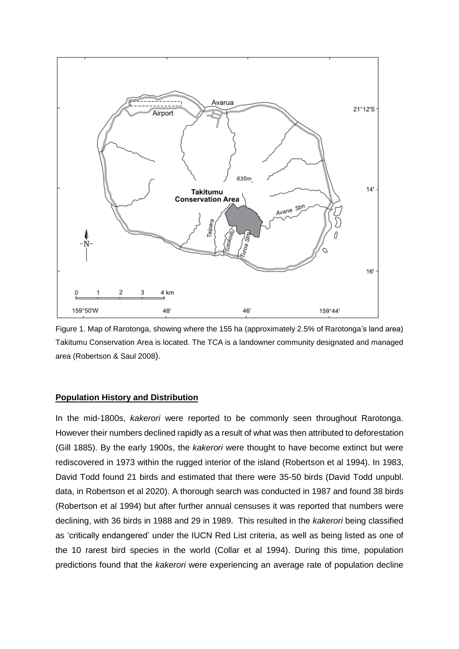

Figure 1. Map of Rarotonga, showing where the 155 ha (approximately 2.5% of Rarotonga's land area) Takitumu Conservation Area is located. The TCA is a landowner community designated and managed area (Robertson & Saul 2008).

#### **Population History and Distribution**

In the mid-1800s, *kakerori* were reported to be commonly seen throughout Rarotonga. However their numbers declined rapidly as a result of what was then attributed to deforestation (Gill 1885). By the early 1900s, the *kakerori* were thought to have become extinct but were rediscovered in 1973 within the rugged interior of the island (Robertson et al 1994). In 1983, David Todd found 21 birds and estimated that there were 35-50 birds (David Todd unpubl. data, in Robertson et al 2020). A thorough search was conducted in 1987 and found 38 birds (Robertson et al 1994) but after further annual censuses it was reported that numbers were declining, with 36 birds in 1988 and 29 in 1989. This resulted in the *kakerori* being classified as 'critically endangered' under the IUCN Red List criteria, as well as being listed as one of the 10 rarest bird species in the world (Collar et al 1994). During this time, population predictions found that the *kakerori* were experiencing an average rate of population decline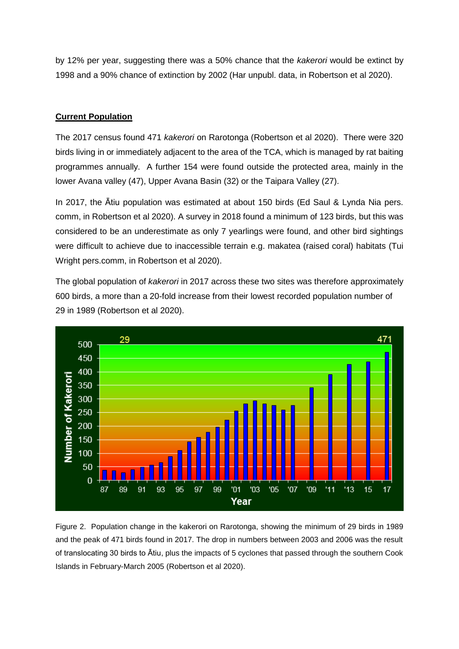by 12% per year, suggesting there was a 50% chance that the *kakerori* would be extinct by 1998 and a 90% chance of extinction by 2002 (Har unpubl. data, in Robertson et al 2020).

## **Current Population**

The 2017 census found 471 *kakerori* on Rarotonga (Robertson et al 2020). There were 320 birds living in or immediately adjacent to the area of the TCA, which is managed by rat baiting programmes annually. A further 154 were found outside the protected area, mainly in the lower Avana valley (47), Upper Avana Basin (32) or the Taipara Valley (27).

In 2017, the Ātiu population was estimated at about 150 birds (Ed Saul & Lynda Nia pers. comm, in Robertson et al 2020). A survey in 2018 found a minimum of 123 birds, but this was considered to be an underestimate as only 7 yearlings were found, and other bird sightings were difficult to achieve due to inaccessible terrain e.g. makatea (raised coral) habitats (Tui Wright pers.comm, in Robertson et al 2020).

The global population of *kakerori* in 2017 across these two sites was therefore approximately 600 birds, a more than a 20-fold increase from their lowest recorded population number of 29 in 1989 (Robertson et al 2020).



Figure 2. Population change in the kakerori on Rarotonga, showing the minimum of 29 birds in 1989 and the peak of 471 birds found in 2017. The drop in numbers between 2003 and 2006 was the result of translocating 30 birds to Ātiu, plus the impacts of 5 cyclones that passed through the southern Cook Islands in February-March 2005 (Robertson et al 2020).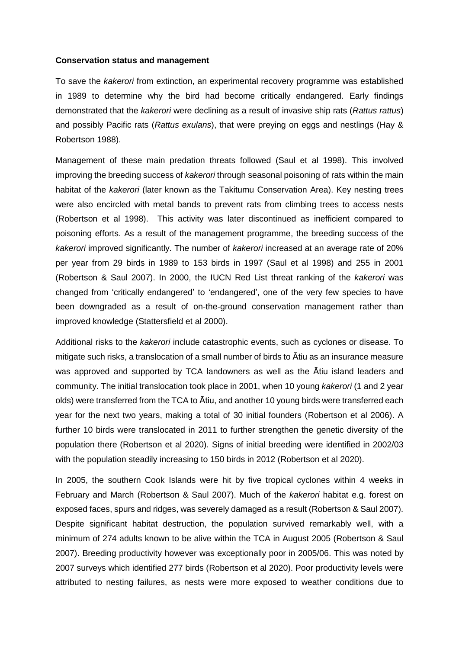#### **Conservation status and management**

To save the *kakerori* from extinction, an experimental recovery programme was established in 1989 to determine why the bird had become critically endangered. Early findings demonstrated that the *kakerori* were declining as a result of invasive ship rats (*Rattus rattus*) and possibly Pacific rats (*Rattus exulans*), that were preying on eggs and nestlings (Hay & Robertson 1988).

Management of these main predation threats followed (Saul et al 1998). This involved improving the breeding success of *kakerori* through seasonal poisoning of rats within the main habitat of the *kakerori* (later known as the Takitumu Conservation Area). Key nesting trees were also encircled with metal bands to prevent rats from climbing trees to access nests (Robertson et al 1998). This activity was later discontinued as inefficient compared to poisoning efforts. As a result of the management programme, the breeding success of the *kakerori* improved significantly. The number of *kakerori* increased at an average rate of 20% per year from 29 birds in 1989 to 153 birds in 1997 (Saul et al 1998) and 255 in 2001 (Robertson & Saul 2007). In 2000, the IUCN Red List threat ranking of the *kakerori* was changed from 'critically endangered' to 'endangered', one of the very few species to have been downgraded as a result of on-the-ground conservation management rather than improved knowledge (Stattersfield et al 2000).

Additional risks to the *kakerori* include catastrophic events, such as cyclones or disease. To mitigate such risks, a translocation of a small number of birds to Ātiu as an insurance measure was approved and supported by TCA landowners as well as the Ātiu island leaders and community. The initial translocation took place in 2001, when 10 young *kakerori* (1 and 2 year olds) were transferred from the TCA to Ātiu, and another 10 young birds were transferred each year for the next two years, making a total of 30 initial founders (Robertson et al 2006). A further 10 birds were translocated in 2011 to further strengthen the genetic diversity of the population there (Robertson et al 2020). Signs of initial breeding were identified in 2002/03 with the population steadily increasing to 150 birds in 2012 (Robertson et al 2020).

In 2005, the southern Cook Islands were hit by five tropical cyclones within 4 weeks in February and March (Robertson & Saul 2007). Much of the *kakerori* habitat e.g. forest on exposed faces, spurs and ridges, was severely damaged as a result (Robertson & Saul 2007). Despite significant habitat destruction, the population survived remarkably well, with a minimum of 274 adults known to be alive within the TCA in August 2005 (Robertson & Saul 2007). Breeding productivity however was exceptionally poor in 2005/06. This was noted by 2007 surveys which identified 277 birds (Robertson et al 2020). Poor productivity levels were attributed to nesting failures, as nests were more exposed to weather conditions due to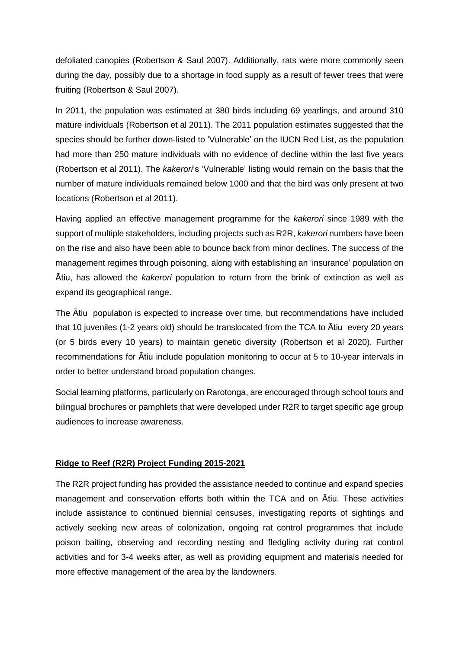defoliated canopies (Robertson & Saul 2007). Additionally, rats were more commonly seen during the day, possibly due to a shortage in food supply as a result of fewer trees that were fruiting (Robertson & Saul 2007).

In 2011, the population was estimated at 380 birds including 69 yearlings, and around 310 mature individuals (Robertson et al 2011). The 2011 population estimates suggested that the species should be further down-listed to 'Vulnerable' on the IUCN Red List, as the population had more than 250 mature individuals with no evidence of decline within the last five years (Robertson et al 2011). The *kakerori*'s 'Vulnerable' listing would remain on the basis that the number of mature individuals remained below 1000 and that the bird was only present at two locations (Robertson et al 2011).

Having applied an effective management programme for the *kakerori* since 1989 with the support of multiple stakeholders, including projects such as R2R, *kakerori* numbers have been on the rise and also have been able to bounce back from minor declines. The success of the management regimes through poisoning, along with establishing an 'insurance' population on Ātiu, has allowed the *kakerori* population to return from the brink of extinction as well as expand its geographical range.

The Ātiu population is expected to increase over time, but recommendations have included that 10 juveniles (1-2 years old) should be translocated from the TCA to Ātiu every 20 years (or 5 birds every 10 years) to maintain genetic diversity (Robertson et al 2020). Further recommendations for Ātiu include population monitoring to occur at 5 to 10-year intervals in order to better understand broad population changes.

Social learning platforms, particularly on Rarotonga, are encouraged through school tours and bilingual brochures or pamphlets that were developed under R2R to target specific age group audiences to increase awareness.

## **Ridge to Reef (R2R) Project Funding 2015-2021**

The R2R project funding has provided the assistance needed to continue and expand species management and conservation efforts both within the TCA and on Ātiu. These activities include assistance to continued biennial censuses, investigating reports of sightings and actively seeking new areas of colonization, ongoing rat control programmes that include poison baiting, observing and recording nesting and fledgling activity during rat control activities and for 3-4 weeks after, as well as providing equipment and materials needed for more effective management of the area by the landowners.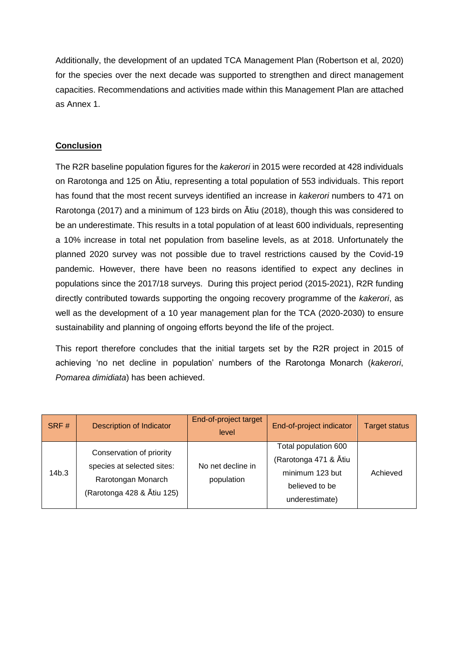Additionally, the development of an updated TCA Management Plan (Robertson et al, 2020) for the species over the next decade was supported to strengthen and direct management capacities. Recommendations and activities made within this Management Plan are attached as Annex 1.

### **Conclusion**

The R2R baseline population figures for the *kakerori* in 2015 were recorded at 428 individuals on Rarotonga and 125 on Ātiu, representing a total population of 553 individuals. This report has found that the most recent surveys identified an increase in *kakerori* numbers to 471 on Rarotonga (2017) and a minimum of 123 birds on Ātiu (2018), though this was considered to be an underestimate. This results in a total population of at least 600 individuals, representing a 10% increase in total net population from baseline levels, as at 2018. Unfortunately the planned 2020 survey was not possible due to travel restrictions caused by the Covid-19 pandemic. However, there have been no reasons identified to expect any declines in populations since the 2017/18 surveys. During this project period (2015-2021), R2R funding directly contributed towards supporting the ongoing recovery programme of the *kakerori*, as well as the development of a 10 year management plan for the TCA (2020-2030) to ensure sustainability and planning of ongoing efforts beyond the life of the project.

This report therefore concludes that the initial targets set by the R2R project in 2015 of achieving 'no net decline in population' numbers of the Rarotonga Monarch (*kakerori*, *Pomarea dimidiata*) has been achieved.

| SRF#  | <b>Description of Indicator</b>                                                                            | End-of-project target<br>level  | End-of-project indicator                                                                             | <b>Target status</b> |
|-------|------------------------------------------------------------------------------------------------------------|---------------------------------|------------------------------------------------------------------------------------------------------|----------------------|
| 14b.3 | Conservation of priority<br>species at selected sites:<br>Rarotongan Monarch<br>(Rarotonga 428 & Ātiu 125) | No net decline in<br>population | Total population 600<br>(Rarotonga 471 & Ātiu<br>minimum 123 but<br>believed to be<br>underestimate) | Achieved             |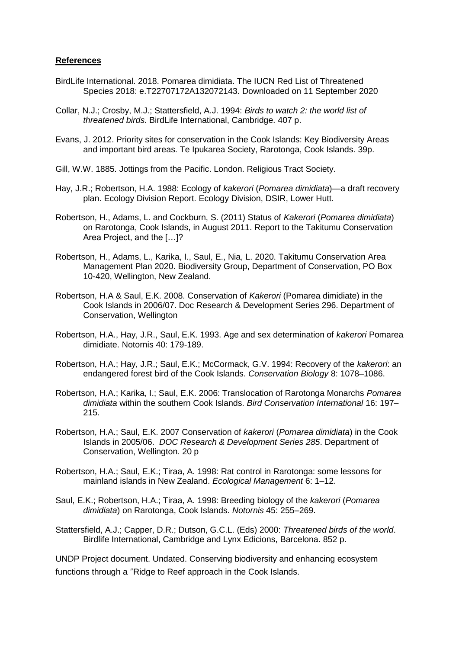#### **References**

- BirdLife International. 2018. Pomarea dimidiata. The IUCN Red List of Threatened Species 2018: e.T22707172A132072143. Downloaded on 11 September 2020
- Collar, N.J.; Crosby, M.J.; Stattersfield, A.J. 1994: *Birds to watch 2: the world list of threatened birds*. BirdLife International, Cambridge. 407 p.
- Evans, J. 2012. Priority sites for conservation in the Cook Islands: Key Biodiversity Areas and important bird areas. Te Ipukarea Society, Rarotonga, Cook Islands. 39p.
- Gill, W.W. 1885. Jottings from the Pacific. London. Religious Tract Society.
- Hay, J.R.; Robertson, H.A. 1988: Ecology of *kakerori* (*Pomarea dimidiata*)—a draft recovery plan. Ecology Division Report. Ecology Division, DSIR, Lower Hutt.
- Robertson, H., Adams, L. and Cockburn, S. (2011) Status of *Kakerori* (*Pomarea dimidiata*) on Rarotonga, Cook Islands, in August 2011. Report to the Takitumu Conservation Area Project, and the […]?
- Robertson, H., Adams, L., Karika, I., Saul, E., Nia, L. 2020. Takitumu Conservation Area Management Plan 2020. Biodiversity Group, Department of Conservation, PO Box 10-420, Wellington, New Zealand.
- Robertson, H.A & Saul, E.K. 2008. Conservation of *Kakerori* (Pomarea dimidiate) in the Cook Islands in 2006/07. Doc Research & Development Series 296. Department of Conservation, Wellington
- Robertson, H.A., Hay, J.R., Saul, E.K. 1993. Age and sex determination of *kakerori* Pomarea dimidiate. Notornis 40: 179-189.
- Robertson, H.A.; Hay, J.R.; Saul, E.K.; McCormack, G.V. 1994: Recovery of the *kakerori*: an endangered forest bird of the Cook Islands. *Conservation Biology* 8: 1078–1086.
- Robertson, H.A.; Karika, I.; Saul, E.K. 2006: Translocation of Rarotonga Monarchs *Pomarea dimidiata* within the southern Cook Islands. *Bird Conservation International* 16: 197– 215.
- Robertson, H.A.; Saul, E.K. 2007 Conservation of *kakerori* (*Pomarea dimidiata*) in the Cook Islands in 2005/06. *DOC Research & Development Series 285*. Department of Conservation, Wellington. 20 p
- Robertson, H.A.; Saul, E.K.; Tiraa, A. 1998: Rat control in Rarotonga: some lessons for mainland islands in New Zealand. *Ecological Management* 6: 1–12.
- Saul, E.K.; Robertson, H.A.; Tiraa, A. 1998: Breeding biology of the *kakerori* (*Pomarea dimidiata*) on Rarotonga, Cook Islands. *Notornis* 45: 255–269.
- Stattersfield, A.J.; Capper, D.R.; Dutson, G.C.L. (Eds) 2000: *Threatened birds of the world*. Birdlife International, Cambridge and Lynx Edicions, Barcelona. 852 p.

UNDP Project document. Undated. Conserving biodiversity and enhancing ecosystem functions through a "Ridge to Reef approach in the Cook Islands.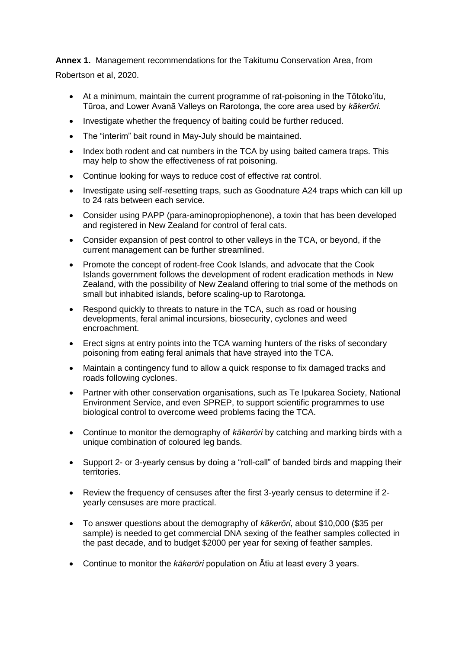**Annex 1.** Management recommendations for the Takitumu Conservation Area, from

Robertson et al, 2020.

- At a minimum, maintain the current programme of rat-poisoning in the Tōtoko'itu, Tūroa, and Lower Avanā Valleys on Rarotonga, the core area used by *kākerōri*.
- Investigate whether the frequency of baiting could be further reduced.
- The "interim" bait round in May-July should be maintained.
- Index both rodent and cat numbers in the TCA by using baited camera traps. This may help to show the effectiveness of rat poisoning.
- Continue looking for ways to reduce cost of effective rat control.
- Investigate using self-resetting traps, such as Goodnature A24 traps which can kill up to 24 rats between each service.
- Consider using PAPP (para-aminopropiophenone), a toxin that has been developed and registered in New Zealand for control of feral cats.
- Consider expansion of pest control to other valleys in the TCA, or beyond, if the current management can be further streamlined.
- Promote the concept of rodent-free Cook Islands, and advocate that the Cook Islands government follows the development of rodent eradication methods in New Zealand, with the possibility of New Zealand offering to trial some of the methods on small but inhabited islands, before scaling-up to Rarotonga.
- Respond quickly to threats to nature in the TCA, such as road or housing developments, feral animal incursions, biosecurity, cyclones and weed encroachment.
- Erect signs at entry points into the TCA warning hunters of the risks of secondary poisoning from eating feral animals that have strayed into the TCA.
- Maintain a contingency fund to allow a quick response to fix damaged tracks and roads following cyclones.
- Partner with other conservation organisations, such as Te Ipukarea Society, National Environment Service, and even SPREP, to support scientific programmes to use biological control to overcome weed problems facing the TCA.
- Continue to monitor the demography of *kākerōri* by catching and marking birds with a unique combination of coloured leg bands.
- Support 2- or 3-yearly census by doing a "roll-call" of banded birds and mapping their territories.
- Review the frequency of censuses after the first 3-yearly census to determine if 2 yearly censuses are more practical.
- To answer questions about the demography of *kākerōri*, about \$10,000 (\$35 per sample) is needed to get commercial DNA sexing of the feather samples collected in the past decade, and to budget \$2000 per year for sexing of feather samples.
- Continue to monitor the *kākerōri* population on Ātiu at least every 3 years.